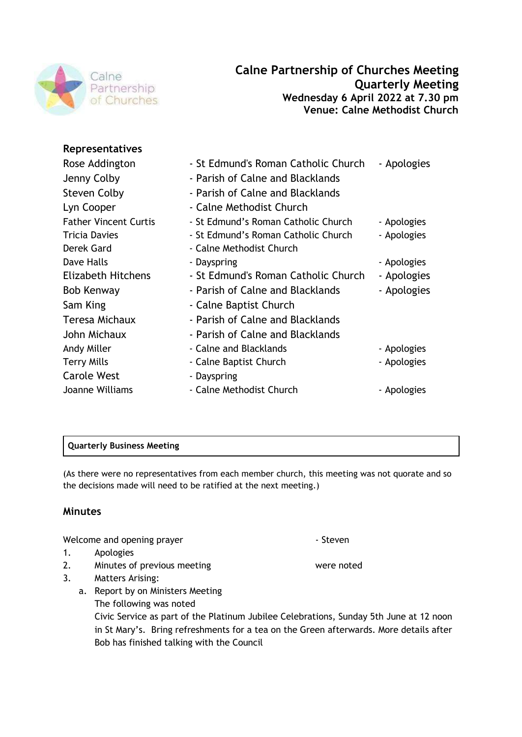

# **Representatives**

| Rose Addington               | - St Edmund's Roman Catholic Church | - Apologies |
|------------------------------|-------------------------------------|-------------|
| Jenny Colby                  | - Parish of Calne and Blacklands    |             |
| <b>Steven Colby</b>          | - Parish of Calne and Blacklands    |             |
| Lyn Cooper                   | - Calne Methodist Church            |             |
| <b>Father Vincent Curtis</b> | - St Edmund's Roman Catholic Church | - Apologies |
| <b>Tricia Davies</b>         | - St Edmund's Roman Catholic Church | - Apologies |
| Derek Gard                   | - Calne Methodist Church            |             |
| Dave Halls                   | - Dayspring                         | - Apologies |
| Elizabeth Hitchens           | - St Edmund's Roman Catholic Church | - Apologies |
| Bob Kenway                   | - Parish of Calne and Blacklands    | - Apologies |
| Sam King                     | - Calne Baptist Church              |             |
| Teresa Michaux               | - Parish of Calne and Blacklands    |             |
| John Michaux                 | - Parish of Calne and Blacklands    |             |
| Andy Miller                  | - Calne and Blacklands              | - Apologies |
| <b>Terry Mills</b>           | - Calne Baptist Church              | - Apologies |
| <b>Carole West</b>           | - Dayspring                         |             |
| Joanne Williams              | - Calne Methodist Church            | - Apologies |
|                              |                                     |             |

# **Quarterly Business Meeting**

(As there were no representatives from each member church, this meeting was not quorate and so the decisions made will need to be ratified at the next meeting.)

# **Minutes**

Welcome and opening prayer **Accord 2018** The Steven

- 1. Apologies
- 2. Minutes of previous meeting meeting were noted
- 3. Matters Arising:
	- a. Report by on Ministers Meeting The following was noted Civic Service as part of the Platinum Jubilee Celebrations, Sunday 5th June at 12 noon in St Mary's. Bring refreshments for a tea on the Green afterwards. More details after Bob has finished talking with the Council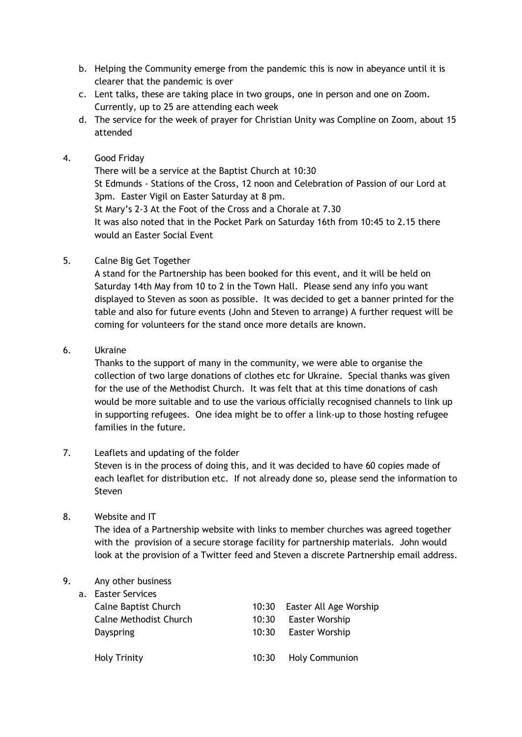- b. Helping the Community emerge from the pandemic this is now in abeyance until it is clearer that the pandemic is over
- c. Lent talks, these are taking place in two groups, one in person and one on Zoom. Currently, up to 25 are attending each week
- d. The service for the week of prayer for Christian Unity was Compline on Zoom, about 15 attended

### 4. Good Friday

There will be a service at the Baptist Church at 10:30 St Edmunds - Stations of the Cross, 12 noon and Celebration of Passion of our Lord at 3pm. Easter Vigil on Easter Saturday at 8 pm. St Mary's 2-3 At the Foot of the Cross and a Chorale at 7.30 It was also noted that in the Pocket Park on Saturday 16th from 10:45 to 2.15 there would an Easter Social Event

#### 5. Calne Big Get Together

A stand for the Partnership has been booked for this event, and it will be held on Saturday 14th May from 10 to 2 in the Town Hall. Please send any info you want displayed to Steven as soon as possible. It was decided to get a banner printed for the table and also for future events (John and Steven to arrange) A further request will be coming for volunteers for the stand once more details are known.

#### 6. Ukraine

Thanks to the support of many in the community, we were able to organise the collection of two large donations of clothes etc for Ukraine. Special thanks was given for the use of the Methodist Church. It was felt that at this time donations of cash would be more suitable and to use the various officially recognised channels to link up in supporting refugees. One idea might be to offer a link-up to those hosting refugee families in the future.

### 7. Leaflets and updating of the folder

Steven is in the process of doing this, and it was decided to have 60 copies made of each leaflet for distribution etc. If not already done so, please send the information to Steven

### 8. Website and IT

The idea of a Partnership website with links to member churches was agreed together with the provision of a secure storage facility for partnership materials. John would look at the provision of a Twitter feed and Steven a discrete Partnership email address.

## 9. Any other business

| a. Easter Services |  |
|--------------------|--|
|--------------------|--|

| Calne Baptist Church   | 10:30 | Easter All Age Worship |
|------------------------|-------|------------------------|
| Calne Methodist Church | 10:30 | <b>Easter Worship</b>  |
| Dayspring              | 10:30 | <b>Easter Worship</b>  |
| <b>Holy Trinity</b>    |       | 10:30 Holy Communion   |